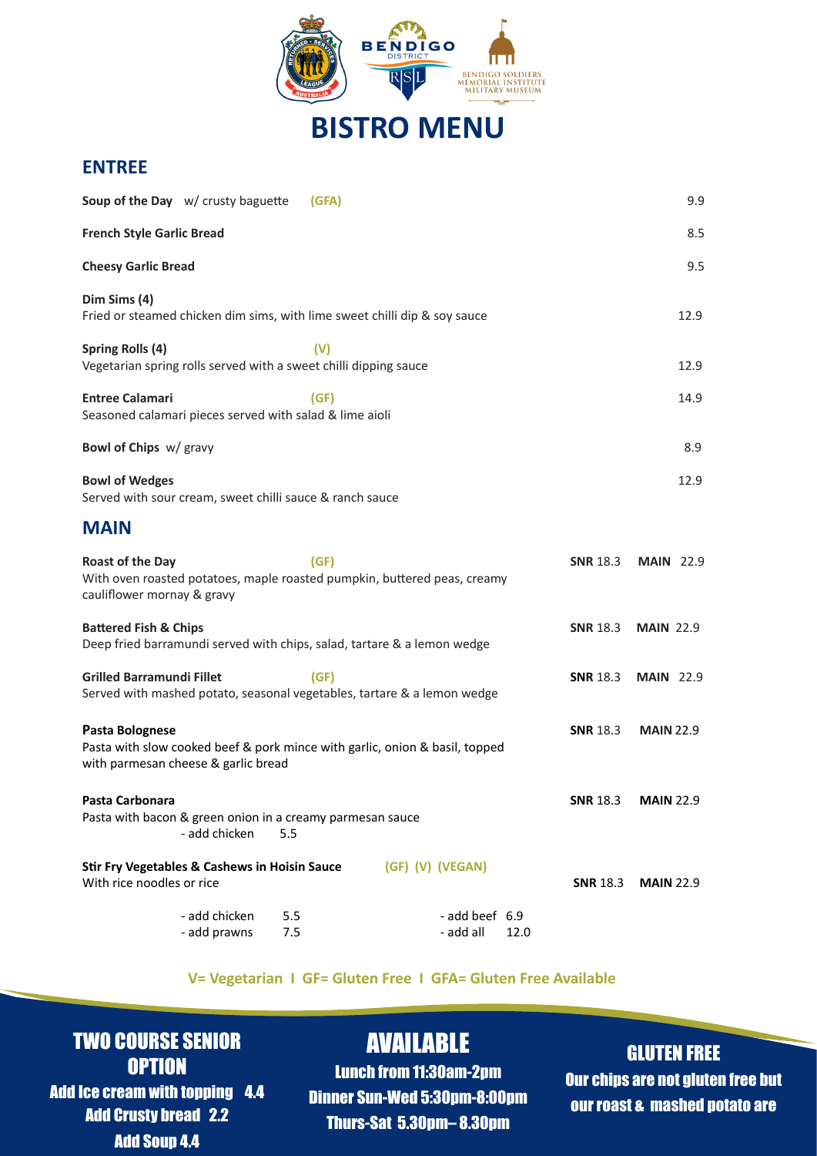

# **BISTRO MENU**

### **ENTREE**

| Soup of the Day w/ crusty baguette                                                                                                    | (GFA)      |                                     |                 | 9.9              |
|---------------------------------------------------------------------------------------------------------------------------------------|------------|-------------------------------------|-----------------|------------------|
| <b>French Style Garlic Bread</b>                                                                                                      |            |                                     |                 | 8.5              |
| <b>Cheesy Garlic Bread</b>                                                                                                            |            |                                     |                 | 9.5              |
| Dim Sims (4)<br>Fried or steamed chicken dim sims, with lime sweet chilli dip & soy sauce                                             |            |                                     |                 | 12.9             |
| Spring Rolls (4)<br>Vegetarian spring rolls served with a sweet chilli dipping sauce                                                  | (V)        |                                     |                 | 12.9             |
| <b>Entree Calamari</b><br>Seasoned calamari pieces served with salad & lime aioli                                                     | (GF)       |                                     |                 | 14.9             |
| Bowl of Chips w/ gravy                                                                                                                |            |                                     |                 | 8.9              |
| <b>Bowl of Wedges</b><br>Served with sour cream, sweet chilli sauce & ranch sauce                                                     |            |                                     |                 | 12.9             |
| <b>MAIN</b>                                                                                                                           |            |                                     |                 |                  |
| <b>Roast of the Day</b><br>With oven roasted potatoes, maple roasted pumpkin, buttered peas, creamy<br>cauliflower mornay & gravy     | (GF)       |                                     | <b>SNR 18.3</b> | <b>MAIN</b> 22.9 |
| <b>Battered Fish &amp; Chips</b><br>Deep fried barramundi served with chips, salad, tartare & a lemon wedge                           |            |                                     | <b>SNR 18.3</b> | <b>MAIN 22.9</b> |
| <b>Grilled Barramundi Fillet</b><br>Served with mashed potato, seasonal vegetables, tartare & a lemon wedge                           | (GF)       |                                     | <b>SNR</b> 18.3 | <b>MAIN 22.9</b> |
| Pasta Bolognese<br>Pasta with slow cooked beef & pork mince with garlic, onion & basil, topped<br>with parmesan cheese & garlic bread |            |                                     | <b>SNR 18.3</b> | <b>MAIN 22.9</b> |
| Pasta Carbonara<br>Pasta with bacon & green onion in a creamy parmesan sauce<br>- add chicken<br>5.5                                  |            |                                     | <b>SNR 18.3</b> | <b>MAIN 22.9</b> |
| <b>Stir Fry Vegetables &amp; Cashews in Hoisin Sauce</b><br>With rice noodles or rice                                                 |            | (GF) (V) (VEGAN)                    | <b>SNR 18.3</b> | <b>MAIN 22.9</b> |
| - add chicken<br>- add prawns                                                                                                         | 5.5<br>7.5 | - add beef 6.9<br>- add all<br>12.0 |                 |                  |

#### **V= Vegetarian I GF= Gluten Free I GFA= Gluten Free Available**

## TWO COURSE SENIOR **OPTION**

Add Ice cream with topping 4.4 Add Crusty bread 2.2 Add Soup 4.4

# AVAILABLE

Lunch from 11:30am-2pm Dinner Sun-Wed 5:30pm-8:00pm Thurs-Sat 5.30pm– 8.30pm

### GLUTEN FREE

Our chips are not gluten free but our roast & mashed potato are